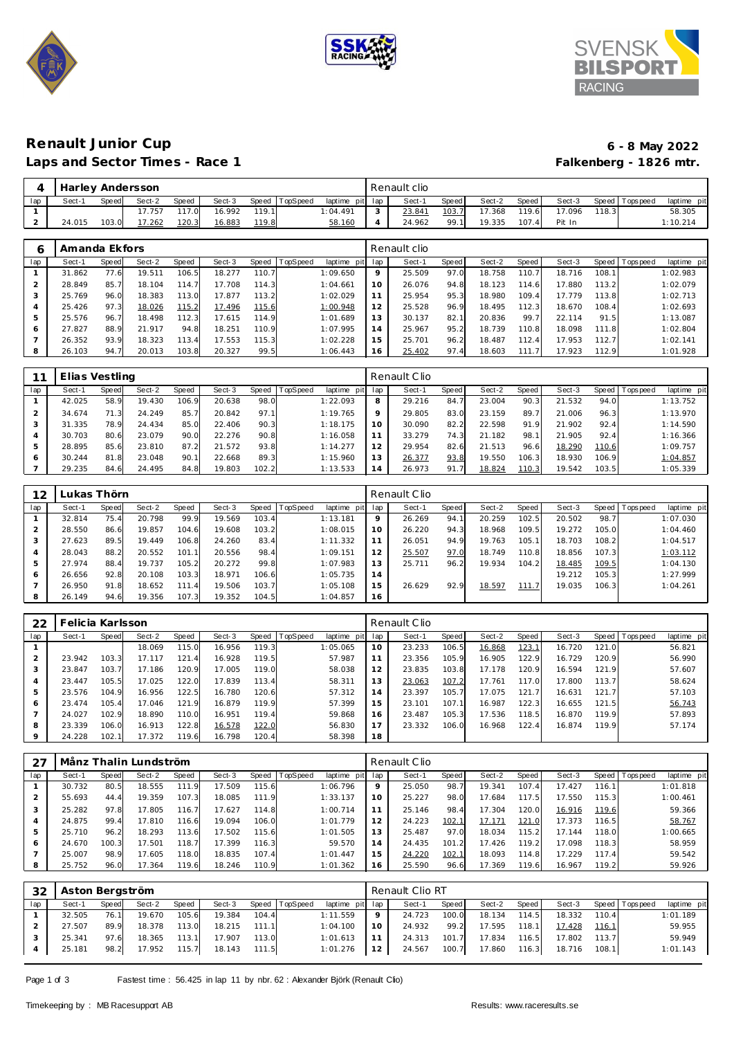





### Renault Junior Cup **6 - 8 May 2022**<br>
Laps and Sector Times - Race 1 **1999 6 - 8 May 2022** Laps and Sector Times - Race 1

|     |        |       | Harley Andersson |              |        |       |                |                 |               | Renault clio |       |        |                    |        |       |                   |             |
|-----|--------|-------|------------------|--------------|--------|-------|----------------|-----------------|---------------|--------------|-------|--------|--------------------|--------|-------|-------------------|-------------|
| lap | Sect-' | Speed | Sect-2           | Speed        | Sect-3 |       | Speed TopSpeed | laptime pit lap |               | Sect-        | Speed | Sect-2 | Speed              | Sect-3 |       | Speed   Tops peed | laptime pit |
|     |        |       | 17.757           | 117.0        | 16.992 | 119.1 |                | 1:04.491        | $\mathcal{L}$ | 23.841       | 103.7 | 17.368 | 119.6              | 17.096 | 118.3 |                   | 58.305      |
|     | 24.015 | 103.0 | 17.262           | <u>120.3</u> | 16.883 | 119.8 |                | 58.160          |               | 24.962       | 99.1  | 19.335 | 107.4 <sub>1</sub> | Pit In |       |                   | 1:10.214    |

|     | Amanda Ekfors |       |        |       |        |       |          |             |     | Renault clio |              |        |       |        |       |           |             |
|-----|---------------|-------|--------|-------|--------|-------|----------|-------------|-----|--------------|--------------|--------|-------|--------|-------|-----------|-------------|
| lap | Sect-1        | Speed | Sect-2 | Speed | Sect-3 | Speed | TopSpeed | laptime pit | lap | Sect-1       | <b>Speed</b> | Sect-2 | Speed | Sect-3 | Speed | Tops peed | laptime pit |
|     | 31.862        | 77.6  | 19.511 | 106.5 | 18.277 | 110.7 |          | 1:09.650    | 9   | 25.509       | 97.0         | 18.758 | 110.7 | 18.716 | 108.1 |           | 1:02.983    |
|     | 28.849        | 85.7  | 18.104 | 114.7 | 17.708 | 114.3 |          | 1:04.661    | 10  | 26.076       | 94.8         | 18.123 | 114.6 | 17.880 | 113.2 |           | 1:02.079    |
| 3   | 25.769        | 96.0  | 18.383 | 113.0 | 17.877 | 113.2 |          | 1:02.029    | 11  | 25.954       | 95.3         | 18.980 | 109.4 | 17.779 | 113.8 |           | 1:02.713    |
| 4   | 25.426        | 97.3  | 18.026 | 115.2 | 17.496 | 115.6 |          | 1:00.948    | 12  | 25.528       | 96.9         | 18.495 | 112.3 | 18.670 | 108.4 |           | 1:02.693    |
| 5   | 25.576        | 96.7  | 18.498 | 112.3 | 17.615 | 114.9 |          | 1:01.689    | 13  | 30.137       | 82.1         | 20.836 | 99.7  | 22.114 | 91.5  |           | 1:13.087    |
| 6   | 27.827        | 88.9  | 21.917 | 94.8  | 18.251 | 110.9 |          | 1:07.995    | 14  | 25.967       | 95.2         | 18.739 | 110.8 | 18.098 | 111.8 |           | 1:02.804    |
|     | 26.352        | 93.9  | 18.323 | 113.4 | 17.553 | 115.3 |          | 1:02.228    | 15  | 25.701       | 96.2         | 18.487 | 112.4 | 17.953 | 112.7 |           | 1:02.141    |
| 8   | 26.103        | 94.7  | 20.013 | 103.8 | 20.327 | 99.5  |          | 1:06.443    | 16  | 25.402       | 97.4         | 18.603 | 111.7 | 17.923 | 112.9 |           | 1:01.928    |

|     | Elias Vestling |       |        |       |        |       |                 |             |                | Renault Clio |       |        |       |        |       |                 |             |
|-----|----------------|-------|--------|-------|--------|-------|-----------------|-------------|----------------|--------------|-------|--------|-------|--------|-------|-----------------|-------------|
| lap | Sect-1         | Speed | Sect-2 | Speed | Sect-3 | Speed | <b>TopSpeed</b> | laptime pit | lap            | Sect-1       | Speed | Sect-2 | Speed | Sect-3 |       | Speed Tops peed | laptime pit |
|     | 42.025         | 58.9  | 19.430 | 106.9 | 20.638 | 98.0  |                 | 1:22.093    | 8              | 29.216       | 84.7  | 23.004 | 90.3  | 21.532 | 94.0  |                 | 1:13.752    |
|     | 34.674         | 71.3  | 24.249 | 85.7  | 20.842 | 97.1  |                 | 1:19.765    | $\circ$        | 29.805       | 83.0  | 23.159 | 89.7  | 21.006 | 96.3  |                 | 1:13.970    |
|     | 31.335         | 78.9  | 24.434 | 85.0  | 22.406 | 90.3  |                 | 1:18.175    | 10             | 30.090       | 82.2  | 22.598 | 91.9  | 21.902 | 92.4  |                 | 1:14.590    |
|     | 30.703         | 80.6  | 23.079 | 90.0  | 22.276 | 90.8  |                 | 1:16.058    |                | 33.279       | 74.3  | 21.182 | 98.1  | 21.905 | 92.4  |                 | 1:16.366    |
|     | 28.895         | 85.6  | 23.810 | 87.2  | 21.572 | 93.8  |                 | 1:14.277    | 12             | 29.954       | 82.6  | 21.513 | 96.6  | 18.290 | 110.6 |                 | 1:09.757    |
|     | 30.244         | 81.8  | 23.048 | 90.1  | 22.668 | 89.3  |                 | 1:15.960    | 13             | 26.377       | 93.8  | 19.550 | 106.3 | 18.930 | 106.9 |                 | 1:04.857    |
|     | 29.235         | 84.6  | 24.495 | 84.8  | 19.803 | 102.2 |                 | 1:13.533    | $\overline{4}$ | 26.973       | 91.7  | 18.824 | 110.3 | 19.542 | 103.5 |                 | 1:05.339    |

| 12             |        | Lukas Thörn |        |       |        |       |                 |                |         | Renault Clio |       |        |       |        |       |                 |             |
|----------------|--------|-------------|--------|-------|--------|-------|-----------------|----------------|---------|--------------|-------|--------|-------|--------|-------|-----------------|-------------|
| lap            | Sect-1 | Speed       | Sect-2 | Speed | Sect-3 | Speed | <b>TopSpeed</b> | laptime<br>pit | lap     | Sect-1       | Speed | Sect-2 | Speed | Sect-3 |       | Speed Tops peed | laptime pit |
|                | 32.814 | 75.4        | 20.798 | 99.9  | 19.569 | 103.4 |                 | 1:13.181       | $\circ$ | 26.269       | 94.1  | 20.259 | 102.5 | 20.502 | 98.7  |                 | 1:07.030    |
| 2              | 28.550 | 86.6        | 19.857 | 104.6 | 19.608 | 103.2 |                 | 1:08.015       | 10      | 26.220       | 94.3  | 18.968 | 109.5 | 19.272 | 105.0 |                 | 1:04.460    |
| 3              | 27.623 | 89.5        | 19.449 | 106.8 | 24.260 | 83.4  |                 | 1:11.332       |         | 26.051       | 94.9  | 19.763 | 105.1 | 18.703 | 108.2 |                 | 1:04.517    |
| $\overline{4}$ | 28.043 | 88.2        | 20.552 | 101.1 | 20.556 | 98.4  |                 | 1:09.151       | 12      | 25.507       | 97.0  | 18.749 | 110.8 | 18.856 | 107.3 |                 | 1:03.112    |
| 5              | 27.974 | 88.4        | 19.737 | 105.2 | 20.272 | 99.8  |                 | 1:07.983       | 13      | 25.711       | 96.2  | 19.934 | 104.2 | 18.485 | 109.5 |                 | 1:04.130    |
| 6              | 26.656 | 92.8        | 20.108 | 103.3 | 18.971 | 106.6 |                 | 1:05.735       | 14      |              |       |        |       | 19.212 | 105.3 |                 | 1:27.999    |
|                | 26.950 | 91.8        | 18.652 | 111.4 | 19.506 | 103.7 |                 | 1:05.108       | 15      | 26.629       | 92.9  | 18.597 | 111.7 | 19.035 | 106.3 |                 | 1:04.261    |
| 8              | 26.149 | 94.6        | 19.356 | 107.3 | 19.352 | 104.5 |                 | 1:04.857       | 16      |              |       |        |       |        |       |                 |             |

| 22  | Felicia Karlsson |       |        |       |        |       |          |                |     | Renault Clio |       |        |       |        |         |            |             |
|-----|------------------|-------|--------|-------|--------|-------|----------|----------------|-----|--------------|-------|--------|-------|--------|---------|------------|-------------|
| lap | Sect-1           | Speed | Sect-2 | Speed | Sect-3 | Speed | TopSpeed | laptime<br>pit | lap | Sect-1       | Speed | Sect-2 | Speed | Sect-3 | Speed I | Tops pee d | laptime pit |
|     |                  |       | 18.069 | 115.0 | 16.956 | 119.3 |          | 1:05.065       | 10  | 23.233       | 106.5 | 16.868 | 123.1 | 16.720 | 121.0   |            | 56.821      |
|     | 23.942           | 103.3 | 17.117 | 121.4 | 16.928 | 119.5 |          | 57.987         |     | 23.356       | 105.9 | 16.905 | 122.9 | 16.729 | 120.9   |            | 56.990      |
|     | 23.847           | 103.7 | 17.186 | 120.9 | 17.005 | 119.0 |          | 58.038         | 12  | 23.835       | 103.8 | 17.178 | 120.9 | 16.594 | 121.9   |            | 57.607      |
|     | 23.447           | 105.5 | 17.025 | 122.0 | 17.839 | 113.4 |          | 58.311         | 13  | 23.063       | 107.2 | 17.761 | 117.0 | 17.800 | 113.7   |            | 58.624      |
|     | 23.576           | 104.9 | 16.956 | 122.5 | 16.780 | 120.6 |          | 57.312         | 14  | 23.397       | 105.7 | 17.075 | 121.7 | 16.631 | 121.7   |            | 57.103      |
| 6   | 23.474           | 105.4 | 17.046 | 121.9 | 16.879 | 119.9 |          | 57.399         | 15  | 23.101       | 107.1 | 16.987 | 122.3 | 16.655 | 121.5   |            | 56.743      |
|     | 24.027           | 102.9 | 18.890 | 110.0 | 16.951 | 119.4 |          | 59.868         | 16  | 23.487       | 105.3 | 17.536 | 118.5 | 16.870 | 119.9   |            | 57.893      |
| 8   | 23.339           | 106.0 | 16.913 | 122.8 | 16.578 | 122.0 |          | 56.830         |     | 23.332       | 106.0 | 16.968 | 122.4 | 16.874 | 119.9   |            | 57.174      |
|     | 24.228           | 102.1 | 17.372 | 119.6 | 16.798 | 120.4 |          | 58.398         | 18  |              |       |        |       |        |         |            |             |

|     |        |       | Månz Thalin Lundström |       |        |       |          |                |     | Renault Clio |       |        |       |        |        |          |             |
|-----|--------|-------|-----------------------|-------|--------|-------|----------|----------------|-----|--------------|-------|--------|-------|--------|--------|----------|-------------|
| lap | Sect-1 | Speed | Sect-2                | Speed | Sect-3 | Speed | TopSpeed | laptime<br>pit | lap | Sect-1       | Speed | Sect-2 | Speed | Sect-3 | Speed  | Topspeed | laptime pit |
|     | 30.732 | 80.5  | 18.555                | 111.9 | 17.509 | 115.6 |          | 1:06.796       | 9   | 25.050       | 98.7  | 19.341 | 107.4 | 17.427 | 116.1  |          | 1:01.818    |
|     | 55.693 | 44.4  | 19.359                | 107.3 | 18.085 | 111.9 |          | 1:33.137       | 10  | 25.227       | 98.0  | 17.684 | 117.5 | 17.550 | 115.3  |          | 1:00.461    |
| 3   | 25.282 | 97.8  | 17.805                | 116.7 | 17.627 | 114.8 |          | 1:00.714       | 11  | 25.146       | 98.4  | 17.304 | 120.0 | 16.916 | 119.6  |          | 59.366      |
| 4   | 24.875 | 99.4  | 17.810                | 116.6 | 19.094 | 106.0 |          | 1:01.779       | 12  | 24.223       | 102.1 | 17.171 | 121.0 | 17.373 | 116.5  |          | 58.767      |
| 5   | 25.710 | 96.2  | 18.293                | 113.6 | 17.502 | 115.6 |          | 1:01.505       | 13  | 25.487       | 97.0  | 18.034 | 115.2 | 17.144 | 118.01 |          | 1:00.665    |
| 6   | 24.670 | 100.3 | 17.501                | 118.7 | 17.399 | 116.3 |          | 59.570         | 14  | 24.435       | 101.2 | 17.426 | 119.2 | 17.098 | 118.3  |          | 58.959      |
|     | 25.007 | 98.9  | 17.605                | 118.0 | 18.835 | 107.4 |          | 1:01.447       | 15  | 24.220       | 102.1 | 18.093 | 114.8 | 17.229 | 117.4  |          | 59.542      |
| 8   | 25.752 | 96.0  | 17.364                | 119.6 | 18.246 | 110.9 |          | 1:01.362       | 16  | 25.590       | 96.6  | 17.369 | 119.6 | 16.967 | 119.2  |          | 59.926      |

| 32  | Aston Bergström |       |        |              |        |       |          |             |         | Renault Clio RT |         |        |       |        |       |                   |             |
|-----|-----------------|-------|--------|--------------|--------|-------|----------|-------------|---------|-----------------|---------|--------|-------|--------|-------|-------------------|-------------|
| lap | Sect-1          | Speed | Sect-2 | <b>Speed</b> | Sect-3 | Speed | TopSpeed | laptime pit | lap     | Sect-1          | Speed I | Sect-2 | Speed | Sect-3 |       | Speed   Tops peed | laptime pit |
|     | 32.505          | 76.1  | 19.670 | 105.6        | 19.384 | 104.4 |          | 1:11.559    | $\circ$ | 24.723          | 100.0   | 18.134 | 114.5 | 18.332 | 110.4 |                   | 1:01.189    |
|     | 27.507          | 89.9  | 18.378 | 113.0        | 18.215 | 111.1 |          | 1:04.100    |         | 24.932          | 99.2    | 17.595 | 118.1 | 17.428 | 116.1 |                   | 59.955      |
|     | 25.341          | 97.6  | 18.365 | 113.1        | 17.907 | 113.0 |          | 1:01.613    |         | 24.313          | 101.7   | 17.834 | 116.5 | 17.802 | 113.7 |                   | 59.949      |
|     | 25.181          | 98.2  | 17.952 | 115.7        | 18.143 | 111.5 |          | 1:01.276    | 12      | 24.567          | 100.7   | 17.860 | 116.3 | 18.716 | 108.1 |                   | 1:01.143    |

Page 1 of 3 Fastest time : 56.425 in lap 11 by nbr. 62 : Alexander Björk (Renault Clio)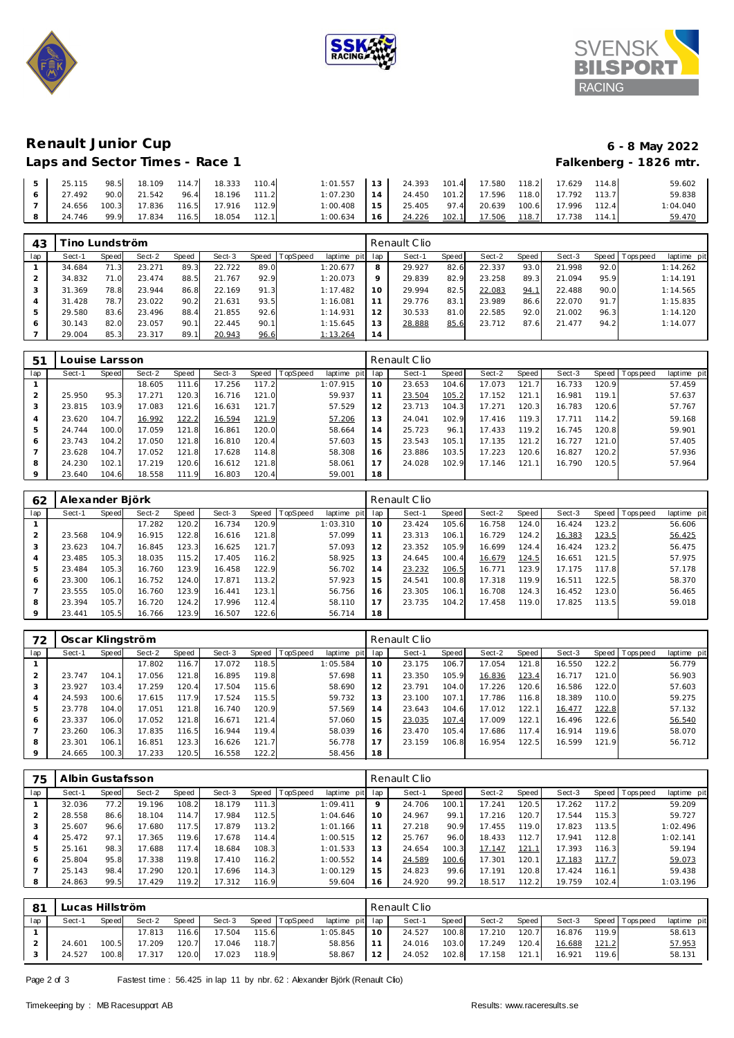





Falkenberg - 1826 mtr.

## **Renault Junior Cup 6 - 8 May 2022**

| Laps and Sector Times - Race 1 |  |  |
|--------------------------------|--|--|
|                                |  |  |

| 25.115 | 98.5  | 18.109 | 114.7 | 18.333 | 110.4 | 1:01.557 | 13 <sup>1</sup> | 24.393 | 101.4 | 17.580 | 118.2 | 17.629 | 114.8 | 59.602   |
|--------|-------|--------|-------|--------|-------|----------|-----------------|--------|-------|--------|-------|--------|-------|----------|
| 27.492 | 90.0  | 21.542 | 96.4  | 18.196 | 111.2 | 1:07.230 | 14              | 24.450 | 101.2 | 17.596 | 118.0 | 17.792 | 113.7 | 59.838   |
| 24.656 | 100.3 | 17.836 | 116.5 | 17.916 | 112.9 | 1:00.408 | 15              | 25.405 | 97.4  | 20.639 | 100.6 | 17.996 | 112.4 | 1:04.040 |
| 24.746 | 99.9  | 17.834 | 116.5 | 18.054 | 112.1 | 1:00.634 | 16              | 24.226 | 102.1 | 17.506 | 118.7 | 17.738 | 114.1 | 59.470   |

| 43  |        | ino Lundström |        |       |        |       |          |             |     | Renault Clio |       |        |       |        |      |                |             |
|-----|--------|---------------|--------|-------|--------|-------|----------|-------------|-----|--------------|-------|--------|-------|--------|------|----------------|-------------|
| lap | Sect-1 | Speed         | Sect-2 | Speed | Sect-3 | Speed | TopSpeed | laptime pit | lap | Sect-1       | Speed | Sect-2 | Speed | Sect-3 |      | Speed Topspeed | laptime pit |
|     | 34.684 | 71.3          | 23.271 | 89.3  | 22.722 | 89.0  |          | 1:20.677    | 8   | 29.927       | 82.6  | 22.337 | 93.0  | 21.998 | 92.0 |                | 1:14.262    |
|     | 34.832 | 71.0          | 23.474 | 88.5  | 21.767 | 92.9  |          | 1:20.073    | 9   | 29.839       | 82.9  | 23.258 | 89.3  | 21.094 | 95.9 |                | 1:14.191    |
|     | 31.369 | 78.8          | 23.944 | 86.8  | 22.169 | 91.3  |          | 1:17.482    | 10  | 29.994       | 82.5  | 22.083 | 94.   | 22.488 | 90.0 |                | 1:14.565    |
|     | 31.428 | 78.7          | 23.022 | 90.2  | 21.631 | 93.5  |          | 1:16.081    | 11  | 29.776       | 83.1  | 23.989 | 86.6  | 22.070 | 91.7 |                | 1:15.835    |
|     | 29.580 | 83.6          | 23.496 | 88.4  | 21.855 | 92.6  |          | 1:14.931    | 12  | 30.533       | 81    | 22.585 | 92.0  | 21.002 | 96.3 |                | 1:14.120    |
| O   | 30.143 | 82.0          | 23.057 | 90.1  | 22.445 | 90.1  |          | 1:15.645    | 13  | 28.888       | 85.6  | 23.712 | 87.6  | 21.477 | 94.2 |                | 1:14.077    |
|     | 29.004 | 85.3          | 23.317 | 89.1  | 20.943 | 96.6  |          | 1:13.264    | 14  |              |       |        |       |        |      |                |             |

| 51  |        | Louise Larsson |        |       |        |       |                 |             |     | Renault Clio |       |        |                       |        |                    |                 |             |
|-----|--------|----------------|--------|-------|--------|-------|-----------------|-------------|-----|--------------|-------|--------|-----------------------|--------|--------------------|-----------------|-------------|
| lap | Sect-1 | <b>Speed</b>   | Sect-2 | Speed | Sect-3 | Speed | <b>TopSpeed</b> | laptime pit | lap | Sect-1       | Speed | Sect-2 | Speed                 | Sect-3 |                    | Speed Tops peed | laptime pit |
|     |        |                | 18.605 | 111.6 | 17.256 | 117.2 |                 | 1:07.915    | 10  | 23.653       | 104.6 | 17.073 | 121<br>$\overline{7}$ | 16.733 | 120.9              |                 | 57.459      |
|     | 25.950 | 95.3           | 17.271 | 120.3 | 16.716 | 121.0 |                 | 59.937      |     | 23.504       | 105.2 | 17.152 | 121.1                 | 16.981 | 119.1 <sub>1</sub> |                 | 57.637      |
|     | 23.815 | 103.9          | 17.083 | 121.6 | 16.631 | 121.7 |                 | 57.529      |     | 23.713       | 104.3 | 17.271 | 120.3                 | 16.783 | 120.6              |                 | 57.767      |
|     | 23.620 | 104.7          | 16.992 | 122.2 | 16.594 | 121.9 |                 | 57.206      | 3   | 24.041       | 102.9 | 17.416 | 119.3                 | 17.711 | 114.2              |                 | 59.168      |
|     | 24.744 | 100.0          | 17.059 | 121.8 | 16.861 | 120.0 |                 | 58.664      | 14  | 25.723       | 96.1  | 17.433 | 119.2                 | 16.745 | 120.8              |                 | 59.901      |
| 6   | 23.743 | 104.2          | 17.050 | 121.8 | 16.810 | 120.4 |                 | 57.603      | 15  | 23.543       | 105.1 | 17.135 | 121.2                 | 16.727 | 121.0              |                 | 57.405      |
|     | 23.628 | 104.7          | 17.052 | 121.8 | 17.628 | 114.8 |                 | 58.308      | 16  | 23.886       | 103.5 | 17.223 | 120.6                 | 16.827 | 120.2              |                 | 57.936      |
| 8   | 24.230 | 102.1          | 17.219 | 120.6 | 16.612 | 121.8 |                 | 58.061      |     | 24.028       | 102.9 | 17.146 | 121.1                 | 16.790 | 120.5              |                 | 57.964      |
|     | 23.640 | 104.6          | 18.558 | 111.9 | 16.803 | 120.4 |                 | 59.001      | 18  |              |       |        |                       |        |                    |                 |             |

| 62      | Alexander Björk |       |        |       |        |       |          |             |     | Renault Clio |       |        |       |        |       |            |             |
|---------|-----------------|-------|--------|-------|--------|-------|----------|-------------|-----|--------------|-------|--------|-------|--------|-------|------------|-------------|
| lap     | Sect-1          | Speed | Sect-2 | Speed | Sect-3 | Speed | TopSpeed | laptime pit | lap | Sect-1       | Speed | Sect-2 | Speed | Sect-3 | Speed | T ops peed | laptime pit |
|         |                 |       | 17.282 | 120.2 | 16.734 | 120.9 |          | 1:03.310    | 10  | 23.424       | 105.6 | 16.758 | 124.0 | 16.424 | 123.2 |            | 56.606      |
| 2       | 23.568          | 104.9 | 16.915 | 122.8 | 16.616 | 121.8 |          | 57.099      | 11  | 23.313       | 106.1 | 16.729 | 124.2 | 16.383 | 123.5 |            | 56.425      |
| 3       | 23.623          | 104.7 | 16.845 | 123.3 | 16.625 | 121.7 |          | 57.093      | 12  | 23.352       | 105.9 | 16.699 | 124.4 | 16.424 | 123.2 |            | 56.475      |
| 4       | 23.485          | 105.3 | 18.035 | 115.2 | 17.405 | 116.2 |          | 58.925      | 13  | 24.645       | 100.4 | 16.679 | 124.5 | 16.651 | 121.5 |            | 57.975      |
| 5       | 23.484          | 105.3 | 16.760 | 123.9 | 16.458 | 122.9 |          | 56.702      | 14  | 23.232       | 106.5 | 16.771 | 123.9 | 17.175 | 117.8 |            | 57.178      |
| 6       | 23.300          | 106.1 | 16.752 | 124.0 | 17.871 | 113.2 |          | 57.923      | 15  | 24.541       | 100.8 | 17.318 | 119.9 | 16.511 | 122.5 |            | 58.370      |
|         | 23.555          | 105.0 | 16.760 | 123.9 | 16.441 | 123.1 |          | 56.756      | 16  | 23.305       | 106.1 | 16.708 | 124.3 | 16.452 | 123.0 |            | 56.465      |
| 8       | 23.394          | 105.7 | 16.720 | 124.2 | 17.996 | 112.4 |          | 58.110      | 17  | 23.735       | 104.2 | 17.458 | 119.0 | 17.825 | 113.5 |            | 59.018      |
| $\circ$ | 23.441          | 105.5 | 16.766 | 123.9 | 16.507 | 122.6 |          | 56.714      | 18  |              |       |        |       |        |       |            |             |

| 72  | Oscar Klingström |       |        |       |        |       |          |             |                | Renault Clio |       |        |       |        |       |                   |             |  |  |
|-----|------------------|-------|--------|-------|--------|-------|----------|-------------|----------------|--------------|-------|--------|-------|--------|-------|-------------------|-------------|--|--|
| lap | Sect-1           | Speed | Sect-2 | Speed | Sect-3 | Speed | TopSpeed | laptime pit | lap            | Sect-1       | Speed | Sect-2 | Speed | Sect-3 |       | Speed   Tops peed | laptime pit |  |  |
|     |                  |       | 17.802 | 116.7 | 17.072 | 118.5 |          | 1:05.584    | 10             | 23.175       | 106.7 | 17.054 | 121.8 | 16.550 | 122.2 |                   | 56.779      |  |  |
|     | 23.747           | 104.1 | 17.056 | 121.8 | 16.895 | 119.8 |          | 57.698      | 11             | 23.350       | 105.9 | 16.836 | 123.4 | 16.717 | 121.0 |                   | 56.903      |  |  |
|     | 23.927           | 103.4 | 17.259 | 120.4 | 17.504 | 115.6 |          | 58.690      | 12             | 23.791       | 104.0 | 17.226 | 120.6 | 16.586 | 122.0 |                   | 57.603      |  |  |
|     | 24.593           | 100.6 | 17.615 | 117.9 | 17.524 | 115.5 |          | 59.732      | 13             | 23.100       | 107.1 | 17.786 | 116.8 | 18.389 | 110.0 |                   | 59.275      |  |  |
|     | 23.778           | 104.0 | 17.051 | 121.8 | 16.740 | 120.9 |          | 57.569      | 14             | 23.643       | 104.6 | 17.012 | 122.1 | 16.477 | 122.8 |                   | 57.132      |  |  |
| 6   | 23.337           | 106.0 | 17.052 | 121.8 | 16.671 | 121.4 |          | 57.060      | 15             | 23.035       | 107.4 | 17.009 | 122.1 | 16.496 | 122.6 |                   | 56.540      |  |  |
|     | 23.260           | 106.3 | 17.835 | 116.5 | 16.944 | 119.4 |          | 58.039      | 16             | 23.470       | 105.4 | 17.686 | 117.4 | 16.914 | 119.6 |                   | 58.070      |  |  |
| 8   | 23.301           | 106.1 | 16.851 | 123.3 | 16.626 | 121.7 |          | 56.778      | $\overline{7}$ | 23.159       | 106.8 | 16.954 | 122.5 | 16.599 | 121.9 |                   | 56.712      |  |  |
|     | 24.665           | 100.3 | 17.233 | 120.5 | 16.558 | 122.2 |          | 58.456      | 18             |              |       |        |       |        |       |                   |             |  |  |

| 75  | Albin Gustafsson |       |        |       |        |       |          |                |                | Renault Clio |       |        |       |        |       |           |             |  |  |
|-----|------------------|-------|--------|-------|--------|-------|----------|----------------|----------------|--------------|-------|--------|-------|--------|-------|-----------|-------------|--|--|
| lap | Sect-1           | Speed | Sect-2 | Speed | Sect-3 | Speed | TopSpeed | laptime<br>pit | lap            | Sect-1       | Speed | Sect-2 | Speed | Sect-3 | Speed | Tops peed | laptime pit |  |  |
|     | 32.036           | 77.2  | 19.196 | 108.2 | 18.179 | 111.3 |          | 1:09.411       | $\circ$        | 24.706       | 100.1 | 17.241 | 120.5 | 17.262 | 117.2 |           | 59.209      |  |  |
| ∠   | 28.558           | 86.6  | 18.104 | 114.7 | 17.984 | 112.5 |          | 1:04.646       | 10             | 24.967       | 99.1  | 17.216 | 120.7 | 17.544 | 115.3 |           | 59.727      |  |  |
| 3   | 25.607           | 96.6  | 17.680 | 117.5 | 17.879 | 113.2 |          | 1:01.166       |                | 27.218       | 90.9  | 17.455 | 119.0 | 17.823 | 113.5 |           | 1:02.496    |  |  |
| 4   | 25.472           | 97.1  | 17.365 | 119.6 | 17.678 | 114.4 |          | 1:00.515       | $\overline{2}$ | 25.767       | 96.0  | 18.433 | 112.7 | 17.941 | 112.8 |           | 1:02.141    |  |  |
| 5   | 25.161           | 98.3  | 17.688 | 117.4 | 18.684 | 108.3 |          | 1:01.533       | 13             | 24.654       | 100.3 | 17.147 | 121.1 | 17.393 | 116.3 |           | 59.194      |  |  |
| 6   | 25.804           | 95.8  | 17.338 | 119.8 | 17.410 | 116.2 |          | 1:00.552       | 14             | 24.589       | 100.6 | 17.301 | 120.1 | 17.183 | 117.7 |           | 59.073      |  |  |
|     | 25.143           | 98.4  | 17.290 | 120.7 | 17.696 | 114.3 |          | 1:00.129       | 15             | 24.823       | 99.6  | 17.191 | 120.8 | 17.424 | 116.1 |           | 59.438      |  |  |
| 8   | 24.863           | 99.5  | 17.429 | 119.2 | 17.312 | 116.9 |          | 59.604         | 16             | 24.920       | 99.2  | 18.517 | 112.2 | 19.759 | 102.4 |           | 1:03.196    |  |  |

| 81  | Lucas Hillström |       |        |              |        |       |          |                 |    | Renault Clio |       |        |       |        |       |                 |             |  |  |  |
|-----|-----------------|-------|--------|--------------|--------|-------|----------|-----------------|----|--------------|-------|--------|-------|--------|-------|-----------------|-------------|--|--|--|
| lap | Sect-1          | Speed | Sect-2 | <b>Speed</b> | Sect-3 | Speed | TopSpeed | laptime pit lap |    | Sect-1       | Speed | Sect-2 | Speed | Sect-3 |       | Speed Tops peed | laptime pit |  |  |  |
|     |                 |       | 17.813 | 116.6        | 17.504 | 115.6 |          | 1:05.845        | 10 | 24.527       | 100.8 | 17.210 | 120.7 | 16.876 | 119.9 |                 | 58.613      |  |  |  |
|     | 24.601          | 100.5 | 17.209 | 120.7        | 17.046 | 118.7 |          | 58.856          |    | 24.016       | 103.0 | 17.249 | 120.4 | 16.688 | 121.2 |                 | 57.953      |  |  |  |
|     | 24.527          | 100.8 | 17.317 | 120.0        | 17.023 | 118.9 |          | 58.867          | 12 | 24.052       | 102.8 | 17.158 | 121.1 | 16.921 | 119.6 |                 | 58.131      |  |  |  |